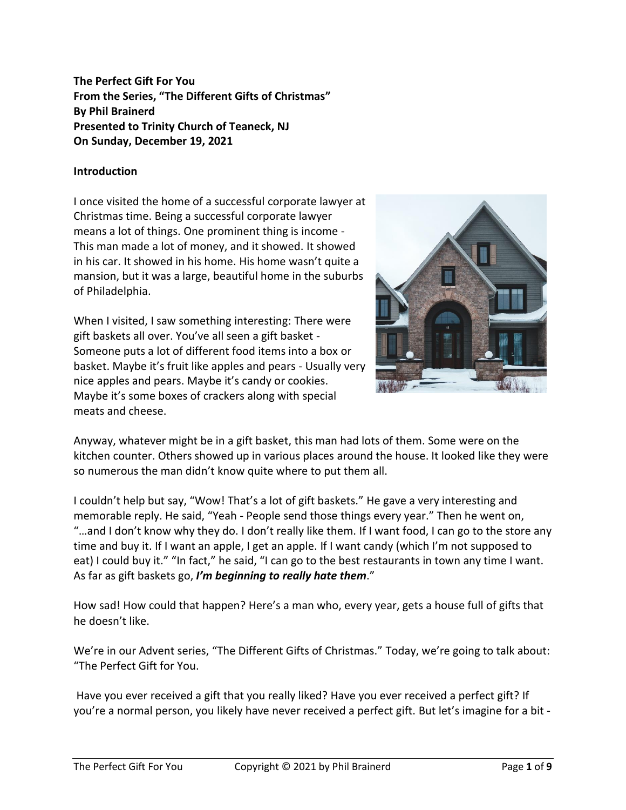**The Perfect Gift For You From the Series, "The Different Gifts of Christmas" By Phil Brainerd Presented to Trinity Church of Teaneck, NJ On Sunday, December 19, 2021**

### **Introduction**

I once visited the home of a successful corporate lawyer at Christmas time. Being a successful corporate lawyer means a lot of things. One prominent thing is income - This man made a lot of money, and it showed. It showed in his car. It showed in his home. His home wasn't quite a mansion, but it was a large, beautiful home in the suburbs of Philadelphia.

When I visited, I saw something interesting: There were gift baskets all over. You've all seen a gift basket - Someone puts a lot of different food items into a box or basket. Maybe it's fruit like apples and pears - Usually very nice apples and pears. Maybe it's candy or cookies. Maybe it's some boxes of crackers along with special meats and cheese.



Anyway, whatever might be in a gift basket, this man had lots of them. Some were on the kitchen counter. Others showed up in various places around the house. It looked like they were so numerous the man didn't know quite where to put them all.

I couldn't help but say, "Wow! That's a lot of gift baskets." He gave a very interesting and memorable reply. He said, "Yeah - People send those things every year." Then he went on, "…and I don't know why they do. I don't really like them. If I want food, I can go to the store any time and buy it. If I want an apple, I get an apple. If I want candy (which I'm not supposed to eat) I could buy it." "In fact," he said, "I can go to the best restaurants in town any time I want. As far as gift baskets go, *I'm beginning to really hate them*."

How sad! How could that happen? Here's a man who, every year, gets a house full of gifts that he doesn't like.

We're in our Advent series, "The Different Gifts of Christmas." Today, we're going to talk about: "The Perfect Gift for You.

Have you ever received a gift that you really liked? Have you ever received a perfect gift? If you're a normal person, you likely have never received a perfect gift. But let's imagine for a bit -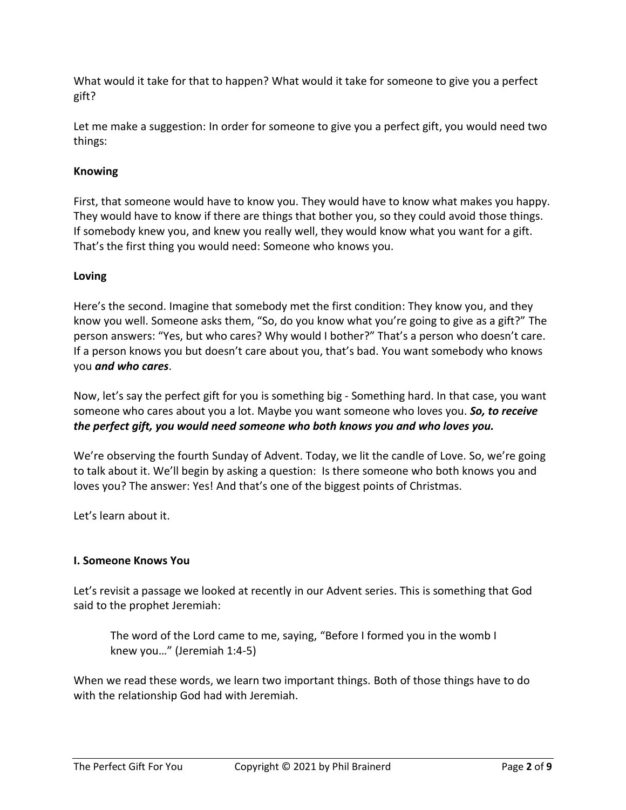What would it take for that to happen? What would it take for someone to give you a perfect gift?

Let me make a suggestion: In order for someone to give you a perfect gift, you would need two things:

# **Knowing**

First, that someone would have to know you. They would have to know what makes you happy. They would have to know if there are things that bother you, so they could avoid those things. If somebody knew you, and knew you really well, they would know what you want for a gift. That's the first thing you would need: Someone who knows you.

## **Loving**

Here's the second. Imagine that somebody met the first condition: They know you, and they know you well. Someone asks them, "So, do you know what you're going to give as a gift?" The person answers: "Yes, but who cares? Why would I bother?" That's a person who doesn't care. If a person knows you but doesn't care about you, that's bad. You want somebody who knows you *and who cares*.

Now, let's say the perfect gift for you is something big - Something hard. In that case, you want someone who cares about you a lot. Maybe you want someone who loves you. *So, to receive the perfect gift, you would need someone who both knows you and who loves you.*

We're observing the fourth Sunday of Advent. Today, we lit the candle of Love. So, we're going to talk about it. We'll begin by asking a question: Is there someone who both knows you and loves you? The answer: Yes! And that's one of the biggest points of Christmas.

Let's learn about it.

## **I. Someone Knows You**

Let's revisit a passage we looked at recently in our Advent series. This is something that God said to the prophet Jeremiah:

The word of the Lord came to me, saying, "Before I formed you in the womb I knew you…" (Jeremiah 1:4-5)

When we read these words, we learn two important things. Both of those things have to do with the relationship God had with Jeremiah.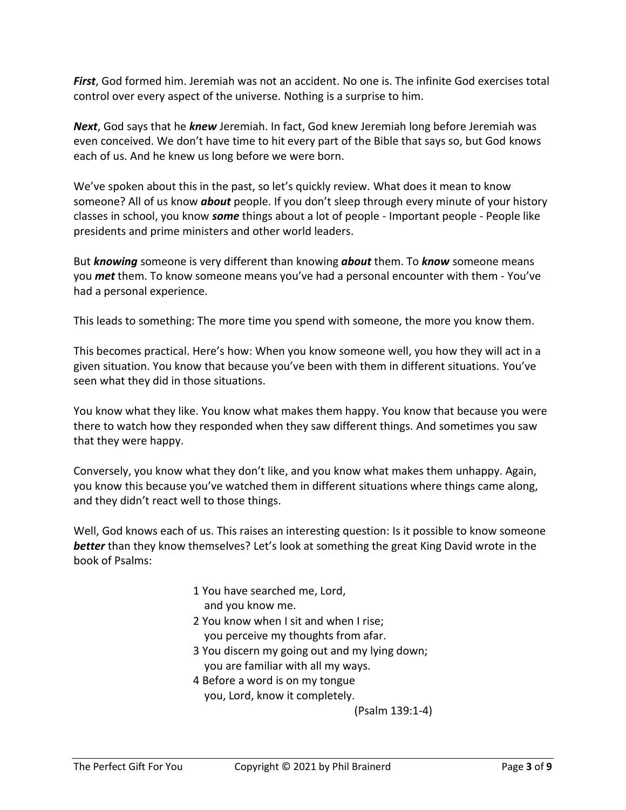*First*, God formed him. Jeremiah was not an accident. No one is. The infinite God exercises total control over every aspect of the universe. Nothing is a surprise to him.

*Next*, God says that he *knew* Jeremiah. In fact, God knew Jeremiah long before Jeremiah was even conceived. We don't have time to hit every part of the Bible that says so, but God knows each of us. And he knew us long before we were born.

We've spoken about this in the past, so let's quickly review. What does it mean to know someone? All of us know *about* people. If you don't sleep through every minute of your history classes in school, you know *some* things about a lot of people - Important people - People like presidents and prime ministers and other world leaders.

But *knowing* someone is very different than knowing *about* them. To *know* someone means you *met* them. To know someone means you've had a personal encounter with them - You've had a personal experience.

This leads to something: The more time you spend with someone, the more you know them.

This becomes practical. Here's how: When you know someone well, you how they will act in a given situation. You know that because you've been with them in different situations. You've seen what they did in those situations.

You know what they like. You know what makes them happy. You know that because you were there to watch how they responded when they saw different things. And sometimes you saw that they were happy.

Conversely, you know what they don't like, and you know what makes them unhappy. Again, you know this because you've watched them in different situations where things came along, and they didn't react well to those things.

Well, God knows each of us. This raises an interesting question: Is it possible to know someone **better** than they know themselves? Let's look at something the great King David wrote in the book of Psalms:

- 1 You have searched me, Lord, and you know me.
- 2 You know when I sit and when I rise; you perceive my thoughts from afar.
- 3 You discern my going out and my lying down; you are familiar with all my ways.
- 4 Before a word is on my tongue you, Lord, know it completely.

(Psalm 139:1-4)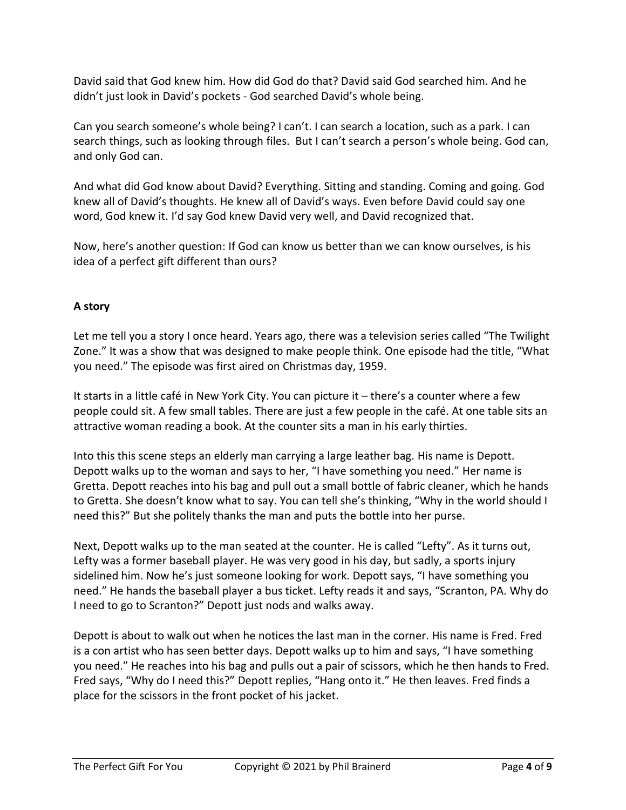David said that God knew him. How did God do that? David said God searched him. And he didn't just look in David's pockets - God searched David's whole being.

Can you search someone's whole being? I can't. I can search a location, such as a park. I can search things, such as looking through files. But I can't search a person's whole being. God can, and only God can.

And what did God know about David? Everything. Sitting and standing. Coming and going. God knew all of David's thoughts. He knew all of David's ways. Even before David could say one word, God knew it. I'd say God knew David very well, and David recognized that.

Now, here's another question: If God can know us better than we can know ourselves, is his idea of a perfect gift different than ours?

## **A story**

Let me tell you a story I once heard. Years ago, there was a television series called "The Twilight Zone." It was a show that was designed to make people think. One episode had the title, "What you need." The episode was first aired on Christmas day, 1959.

It starts in a little café in New York City. You can picture it – there's a counter where a few people could sit. A few small tables. There are just a few people in the café. At one table sits an attractive woman reading a book. At the counter sits a man in his early thirties.

Into this this scene steps an elderly man carrying a large leather bag. His name is Depott. Depott walks up to the woman and says to her, "I have something you need." Her name is Gretta. Depott reaches into his bag and pull out a small bottle of fabric cleaner, which he hands to Gretta. She doesn't know what to say. You can tell she's thinking, "Why in the world should I need this?" But she politely thanks the man and puts the bottle into her purse.

Next, Depott walks up to the man seated at the counter. He is called "Lefty". As it turns out, Lefty was a former baseball player. He was very good in his day, but sadly, a sports injury sidelined him. Now he's just someone looking for work. Depott says, "I have something you need." He hands the baseball player a bus ticket. Lefty reads it and says, "Scranton, PA. Why do I need to go to Scranton?" Depott just nods and walks away.

Depott is about to walk out when he notices the last man in the corner. His name is Fred. Fred is a con artist who has seen better days. Depott walks up to him and says, "I have something you need." He reaches into his bag and pulls out a pair of scissors, which he then hands to Fred. Fred says, "Why do I need this?" Depott replies, "Hang onto it." He then leaves. Fred finds a place for the scissors in the front pocket of his jacket.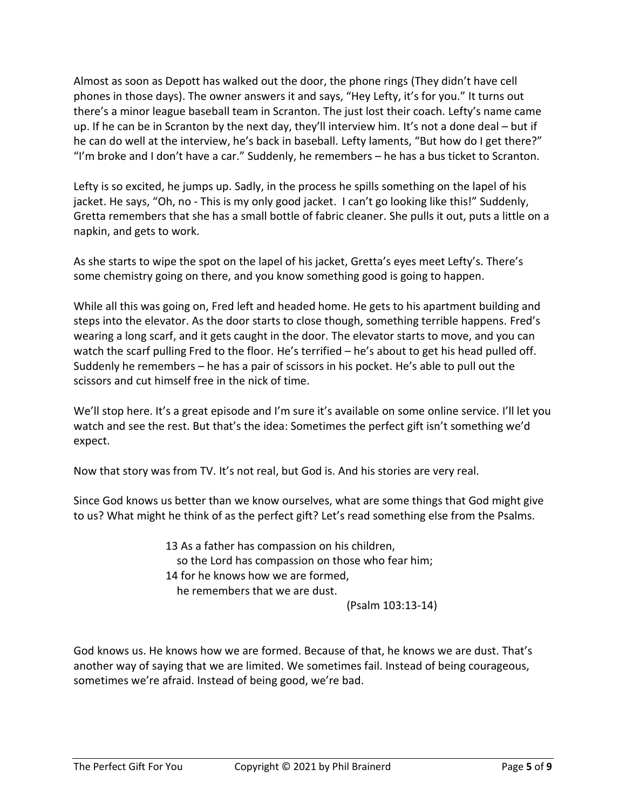Almost as soon as Depott has walked out the door, the phone rings (They didn't have cell phones in those days). The owner answers it and says, "Hey Lefty, it's for you." It turns out there's a minor league baseball team in Scranton. The just lost their coach. Lefty's name came up. If he can be in Scranton by the next day, they'll interview him. It's not a done deal – but if he can do well at the interview, he's back in baseball. Lefty laments, "But how do I get there?" "I'm broke and I don't have a car." Suddenly, he remembers – he has a bus ticket to Scranton.

Lefty is so excited, he jumps up. Sadly, in the process he spills something on the lapel of his jacket. He says, "Oh, no - This is my only good jacket. I can't go looking like this!" Suddenly, Gretta remembers that she has a small bottle of fabric cleaner. She pulls it out, puts a little on a napkin, and gets to work.

As she starts to wipe the spot on the lapel of his jacket, Gretta's eyes meet Lefty's. There's some chemistry going on there, and you know something good is going to happen.

While all this was going on, Fred left and headed home. He gets to his apartment building and steps into the elevator. As the door starts to close though, something terrible happens. Fred's wearing a long scarf, and it gets caught in the door. The elevator starts to move, and you can watch the scarf pulling Fred to the floor. He's terrified – he's about to get his head pulled off. Suddenly he remembers – he has a pair of scissors in his pocket. He's able to pull out the scissors and cut himself free in the nick of time.

We'll stop here. It's a great episode and I'm sure it's available on some online service. I'll let you watch and see the rest. But that's the idea: Sometimes the perfect gift isn't something we'd expect.

Now that story was from TV. It's not real, but God is. And his stories are very real.

Since God knows us better than we know ourselves, what are some things that God might give to us? What might he think of as the perfect gift? Let's read something else from the Psalms.

> 13 As a father has compassion on his children, so the Lord has compassion on those who fear him; 14 for he knows how we are formed, he remembers that we are dust.

(Psalm 103:13-14)

God knows us. He knows how we are formed. Because of that, he knows we are dust. That's another way of saying that we are limited. We sometimes fail. Instead of being courageous, sometimes we're afraid. Instead of being good, we're bad.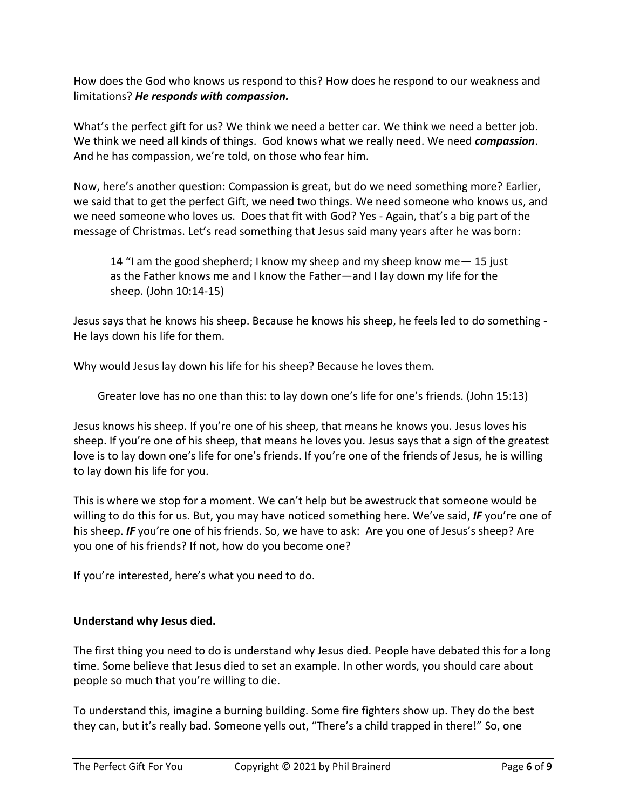How does the God who knows us respond to this? How does he respond to our weakness and limitations? *He responds with compassion.*

What's the perfect gift for us? We think we need a better car. We think we need a better job. We think we need all kinds of things. God knows what we really need. We need *compassion*. And he has compassion, we're told, on those who fear him.

Now, here's another question: Compassion is great, but do we need something more? Earlier, we said that to get the perfect Gift, we need two things. We need someone who knows us, and we need someone who loves us. Does that fit with God? Yes - Again, that's a big part of the message of Christmas. Let's read something that Jesus said many years after he was born:

14 "I am the good shepherd; I know my sheep and my sheep know me— 15 just as the Father knows me and I know the Father—and I lay down my life for the sheep. (John 10:14-15)

Jesus says that he knows his sheep. Because he knows his sheep, he feels led to do something - He lays down his life for them.

Why would Jesus lay down his life for his sheep? Because he loves them.

Greater love has no one than this: to lay down one's life for one's friends. (John 15:13)

Jesus knows his sheep. If you're one of his sheep, that means he knows you. Jesus loves his sheep. If you're one of his sheep, that means he loves you. Jesus says that a sign of the greatest love is to lay down one's life for one's friends. If you're one of the friends of Jesus, he is willing to lay down his life for you.

This is where we stop for a moment. We can't help but be awestruck that someone would be willing to do this for us. But, you may have noticed something here. We've said, *IF* you're one of his sheep. *IF* you're one of his friends. So, we have to ask: Are you one of Jesus's sheep? Are you one of his friends? If not, how do you become one?

If you're interested, here's what you need to do.

## **Understand why Jesus died.**

The first thing you need to do is understand why Jesus died. People have debated this for a long time. Some believe that Jesus died to set an example. In other words, you should care about people so much that you're willing to die.

To understand this, imagine a burning building. Some fire fighters show up. They do the best they can, but it's really bad. Someone yells out, "There's a child trapped in there!" So, one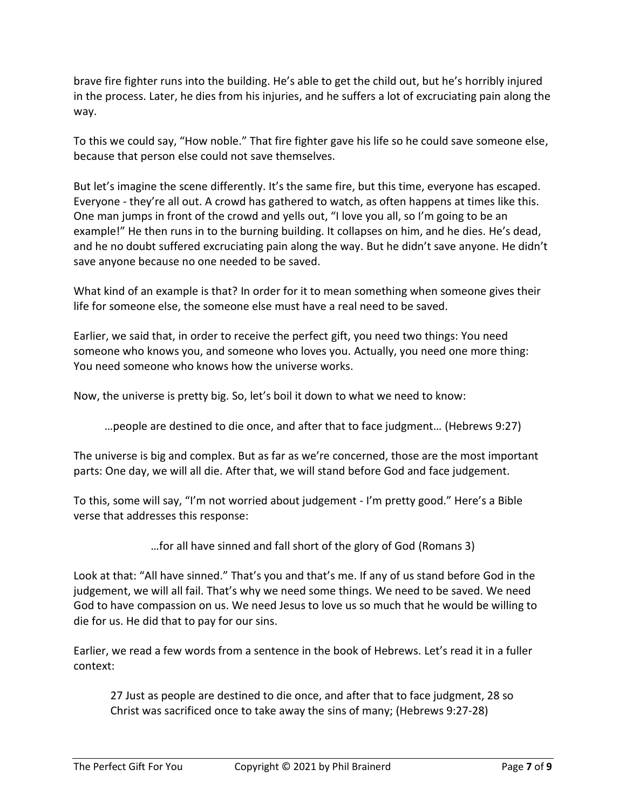brave fire fighter runs into the building. He's able to get the child out, but he's horribly injured in the process. Later, he dies from his injuries, and he suffers a lot of excruciating pain along the way.

To this we could say, "How noble." That fire fighter gave his life so he could save someone else, because that person else could not save themselves.

But let's imagine the scene differently. It's the same fire, but this time, everyone has escaped. Everyone - they're all out. A crowd has gathered to watch, as often happens at times like this. One man jumps in front of the crowd and yells out, "I love you all, so I'm going to be an example!" He then runs in to the burning building. It collapses on him, and he dies. He's dead, and he no doubt suffered excruciating pain along the way. But he didn't save anyone. He didn't save anyone because no one needed to be saved.

What kind of an example is that? In order for it to mean something when someone gives their life for someone else, the someone else must have a real need to be saved.

Earlier, we said that, in order to receive the perfect gift, you need two things: You need someone who knows you, and someone who loves you. Actually, you need one more thing: You need someone who knows how the universe works.

Now, the universe is pretty big. So, let's boil it down to what we need to know:

…people are destined to die once, and after that to face judgment… (Hebrews 9:27)

The universe is big and complex. But as far as we're concerned, those are the most important parts: One day, we will all die. After that, we will stand before God and face judgement.

To this, some will say, "I'm not worried about judgement - I'm pretty good." Here's a Bible verse that addresses this response:

…for all have sinned and fall short of the glory of God (Romans 3)

Look at that: "All have sinned." That's you and that's me. If any of us stand before God in the judgement, we will all fail. That's why we need some things. We need to be saved. We need God to have compassion on us. We need Jesus to love us so much that he would be willing to die for us. He did that to pay for our sins.

Earlier, we read a few words from a sentence in the book of Hebrews. Let's read it in a fuller context:

27 Just as people are destined to die once, and after that to face judgment, 28 so Christ was sacrificed once to take away the sins of many; (Hebrews 9:27-28)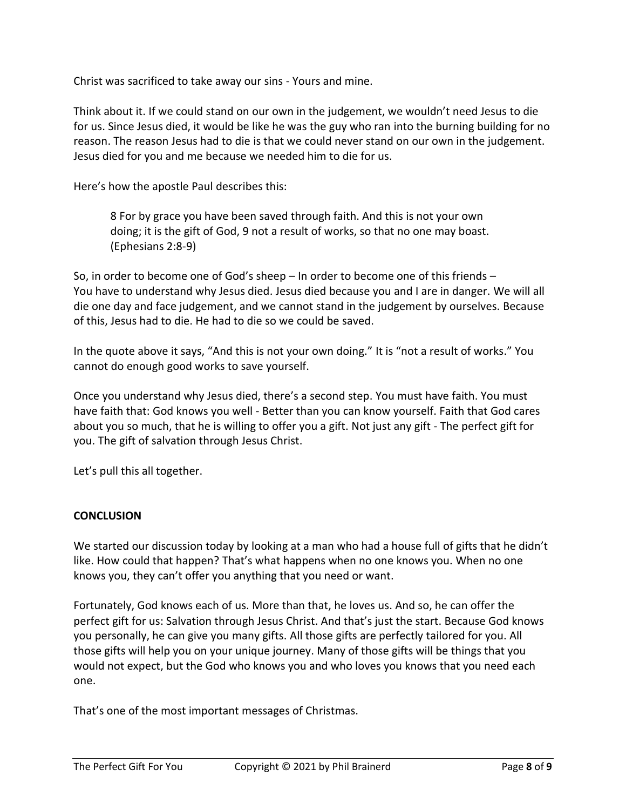Christ was sacrificed to take away our sins - Yours and mine.

Think about it. If we could stand on our own in the judgement, we wouldn't need Jesus to die for us. Since Jesus died, it would be like he was the guy who ran into the burning building for no reason. The reason Jesus had to die is that we could never stand on our own in the judgement. Jesus died for you and me because we needed him to die for us.

Here's how the apostle Paul describes this:

8 For by grace you have been saved through faith. And this is not your own doing; it is the gift of God, 9 not a result of works, so that no one may boast. (Ephesians 2:8-9)

So, in order to become one of God's sheep – In order to become one of this friends – You have to understand why Jesus died. Jesus died because you and I are in danger. We will all die one day and face judgement, and we cannot stand in the judgement by ourselves. Because of this, Jesus had to die. He had to die so we could be saved.

In the quote above it says, "And this is not your own doing." It is "not a result of works." You cannot do enough good works to save yourself.

Once you understand why Jesus died, there's a second step. You must have faith. You must have faith that: God knows you well - Better than you can know yourself. Faith that God cares about you so much, that he is willing to offer you a gift. Not just any gift - The perfect gift for you. The gift of salvation through Jesus Christ.

Let's pull this all together.

## **CONCLUSION**

We started our discussion today by looking at a man who had a house full of gifts that he didn't like. How could that happen? That's what happens when no one knows you. When no one knows you, they can't offer you anything that you need or want.

Fortunately, God knows each of us. More than that, he loves us. And so, he can offer the perfect gift for us: Salvation through Jesus Christ. And that's just the start. Because God knows you personally, he can give you many gifts. All those gifts are perfectly tailored for you. All those gifts will help you on your unique journey. Many of those gifts will be things that you would not expect, but the God who knows you and who loves you knows that you need each one.

That's one of the most important messages of Christmas.